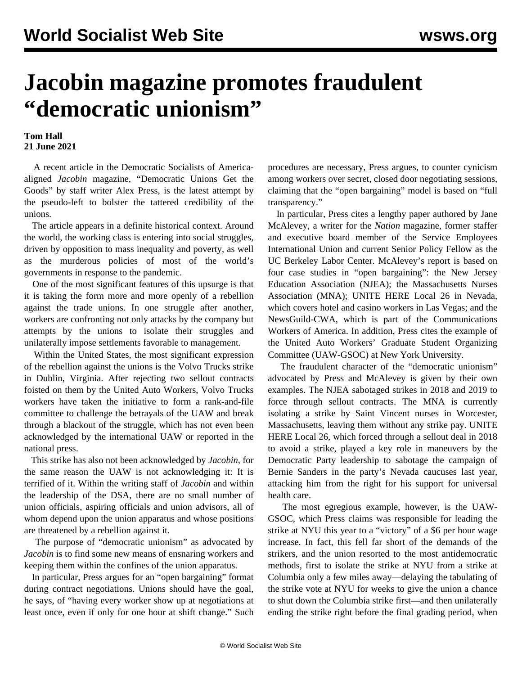## **Jacobin magazine promotes fraudulent "democratic unionism"**

## **Tom Hall 21 June 2021**

 A recent article in the Democratic Socialists of Americaaligned *Jacobin* magazine, "Democratic Unions Get the Goods" by staff writer Alex Press, is the latest attempt by the pseudo-left to bolster the tattered credibility of the unions.

 The article appears in a definite historical context. Around the world, the working class is entering into social struggles, driven by opposition to mass inequality and poverty, as well as the murderous policies of most of the world's governments in response to the pandemic.

 One of the most significant features of this upsurge is that it is taking the form more and more openly of a rebellion against the trade unions. In one struggle after another, workers are confronting not only attacks by the company but attempts by the unions to isolate their struggles and unilaterally impose settlements favorable to management.

 Within the United States, the most significant expression of the rebellion against the unions is the Volvo Trucks strike in Dublin, Virginia. After rejecting two sellout contracts foisted on them by the United Auto Workers, Volvo Trucks workers have taken the initiative to form a rank-and-file committee to challenge the betrayals of the UAW and break through a blackout of the struggle, which has not even been acknowledged by the international UAW or reported in the national press.

 This strike has also not been acknowledged by *Jacobin,* for the same reason the UAW is not acknowledging it: It is terrified of it. Within the writing staff of *Jacobin* and within the leadership of the DSA, there are no small number of union officials, aspiring officials and union advisors, all of whom depend upon the union apparatus and whose positions are threatened by a rebellion against it.

 The purpose of "democratic unionism" as advocated by *Jacobin* is to find some new means of ensnaring workers and keeping them within the confines of the union apparatus.

 In particular, Press argues for an "open bargaining" format during contract negotiations. Unions should have the goal, he says, of "having every worker show up at negotiations at least once, even if only for one hour at shift change." Such procedures are necessary, Press argues, to counter cynicism among workers over secret, closed door negotiating sessions, claiming that the "open bargaining" model is based on "full transparency."

 In particular, Press cites a lengthy paper authored by Jane McAlevey, a writer for the *Nation* magazine, former staffer and executive board member of the Service Employees International Union and current Senior Policy Fellow as the UC Berkeley Labor Center. McAlevey's report is based on four case studies in "open bargaining": the New Jersey Education Association (NJEA); the Massachusetts Nurses Association (MNA); UNITE HERE Local 26 in Nevada, which covers hotel and casino workers in Las Vegas; and the NewsGuild-CWA, which is part of the Communications Workers of America. In addition, Press cites the example of the United Auto Workers' Graduate Student Organizing Committee (UAW-GSOC) at New York University.

 The fraudulent character of the "democratic unionism" advocated by Press and McAlevey is given by their own examples. The NJEA sabotaged strikes in 2018 and 2019 to force through sellout contracts. The MNA is currently isolating a strike by Saint Vincent nurses in Worcester, Massachusetts, leaving them without any strike pay. UNITE HERE Local 26, which forced through a sellout deal in 2018 to avoid a strike, played a key role in maneuvers by the Democratic Party leadership to sabotage the campaign of Bernie Sanders in the party's Nevada caucuses last year, attacking him from the right for his support for universal health care.

 The most egregious example, however, is the UAW-GSOC, which Press claims was responsible for leading the strike at NYU this year to a "victory" of a \$6 per hour wage increase. In fact, this fell far short of the demands of the strikers, and the union resorted to the most antidemocratic methods, first to isolate the strike at NYU from a strike at Columbia only a few miles away—delaying the tabulating of the strike vote at NYU for weeks to give the union a chance to shut down the Columbia strike first—and then unilaterally ending the strike right before the final grading period, when